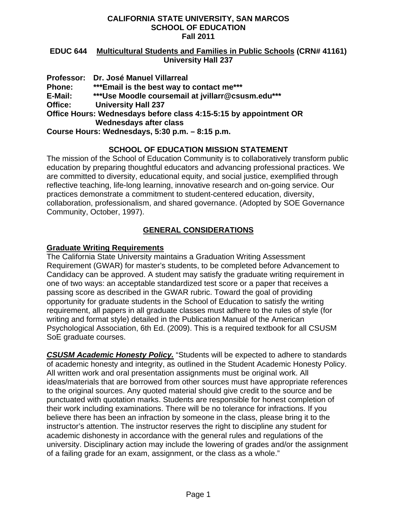### **EDUC 644 Multicultural Students and Families in Public Schools (CRN# 41161) University Hall 237**

**Professor: Dr. José Manuel Villarreal Phone: E-Mail: Office: \*\*\*Email is the best way to contact me\*\*\* \*\*\*Use Moodle coursemail at jvillarr@csusm.edu\*\*\* University Hall 237 Office Hours: Wednesdays before class 4:15-5:15 by appointment OR Wednesdays after class** 

**Course Hours: Wednesdays, 5:30 p.m. – 8:15 p.m.** 

# **SCHOOL OF EDUCATION MISSION STATEMENT**

The mission of the School of Education Community is to collaboratively transform public education by preparing thoughtful educators and advancing professional practices. We are committed to diversity, educational equity, and social justice, exemplified through reflective teaching, life-long learning, innovative research and on-going service. Our practices demonstrate a commitment to student-centered education, diversity, collaboration, professionalism, and shared governance. (Adopted by SOE Governance Community, October, 1997).

# **GENERAL CONSIDERATIONS**

### **Graduate Writing Requirements**

The California State University maintains a Graduation Writing Assessment Requirement (GWAR) for master's students, to be completed before Advancement to Candidacy can be approved. A student may satisfy the graduate writing requirement in one of two ways: an acceptable standardized test score or a paper that receives a passing score as described in the GWAR rubric. Toward the goal of providing opportunity for graduate students in the School of Education to satisfy the writing requirement, all papers in all graduate classes must adhere to the rules of style (for writing and format style) detailed in the Publication Manual of the American Psychological Association, 6th Ed. (2009). This is a required textbook for all CSUSM SoE graduate courses.

*CSUSM Academic Honesty Policy.* "Students will be expected to adhere to standards of academic honesty and integrity, as outlined in the Student Academic Honesty Policy. All written work and oral presentation assignments must be original work. All ideas/materials that are borrowed from other sources must have appropriate references to the original sources. Any quoted material should give credit to the source and be punctuated with quotation marks. Students are responsible for honest completion of their work including examinations. There will be no tolerance for infractions. If you believe there has been an infraction by someone in the class, please bring it to the instructor's attention. The instructor reserves the right to discipline any student for academic dishonesty in accordance with the general rules and regulations of the university. Disciplinary action may include the lowering of grades and/or the assignment of a failing grade for an exam, assignment, or the class as a whole."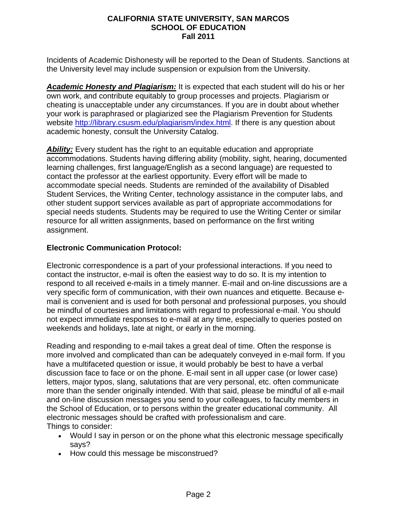Incidents of Academic Dishonesty will be reported to the Dean of Students. Sanctions at the University level may include suspension or expulsion from the University.

*Academic Honesty and Plagiarism:* It is expected that each student will do his or her own work, and contribute equitably to group processes and projects. Plagiarism or cheating is unacceptable under any circumstances. If you are in doubt about whether your work is paraphrased or plagiarized see the Plagiarism Prevention for Students website http://library.csusm.edu/plagiarism/index.html. If there is any question about academic honesty, consult the University Catalog.

**Ability:** Every student has the right to an equitable education and appropriate accommodations. Students having differing ability (mobility, sight, hearing, documented learning challenges, first language/English as a second language) are requested to contact the professor at the earliest opportunity. Every effort will be made to accommodate special needs. Students are reminded of the availability of Disabled Student Services, the Writing Center, technology assistance in the computer labs, and other student support services available as part of appropriate accommodations for special needs students. Students may be required to use the Writing Center or similar resource for all written assignments, based on performance on the first writing assignment.

### **Electronic Communication Protocol:**

Electronic correspondence is a part of your professional interactions. If you need to contact the instructor, e-mail is often the easiest way to do so. It is my intention to respond to all received e-mails in a timely manner. E-mail and on-line discussions are a very specific form of communication, with their own nuances and etiquette. Because email is convenient and is used for both personal and professional purposes, you should be mindful of courtesies and limitations with regard to professional e-mail. You should not expect immediate responses to e-mail at any time, especially to queries posted on weekends and holidays, late at night, or early in the morning.

Reading and responding to e-mail takes a great deal of time. Often the response is more involved and complicated than can be adequately conveyed in e-mail form. If you have a multifaceted question or issue, it would probably be best to have a verbal discussion face to face or on the phone. E-mail sent in all upper case (or lower case) letters, major typos, slang, salutations that are very personal, etc. often communicate more than the sender originally intended. With that said, please be mindful of all e-mail and on-line discussion messages you send to your colleagues, to faculty members in the School of Education, or to persons within the greater educational community. All electronic messages should be crafted with professionalism and care. Things to consider:

- Would I say in person or on the phone what this electronic message specifically says?
- How could this message be misconstrued?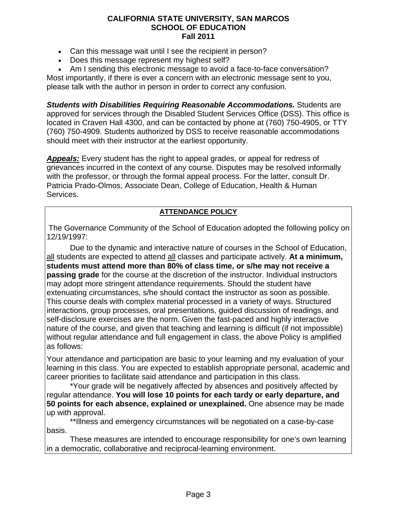- Can this message wait until I see the recipient in person?
- Does this message represent my highest self?
- Am I sending this electronic message to avoid a face-to-face conversation?

Most importantly, if there is ever a concern with an electronic message sent to you, please talk with the author in person in order to correct any confusion.

*Students with Disabilities Requiring Reasonable Accommodations.* Students are approved for services through the Disabled Student Services Office (DSS). This office is located in Craven Hall 4300, and can be contacted by phone at (760) 750-4905, or TTY (760) 750-4909. Students authorized by DSS to receive reasonable accommodations should meet with their instructor at the earliest opportunity.

*Appeals:* Every student has the right to appeal grades, or appeal for redress of grievances incurred in the context of any course. Disputes may be resolved informally with the professor, or through the formal appeal process. For the latter, consult Dr. Patricia Prado-Olmos, Associate Dean, College of Education, Health & Human Services.

### **ATTENDANCE POLICY**

The Governance Community of the School of Education adopted the following policy on 12/19/1997:

Due to the dynamic and interactive nature of courses in the School of Education, all students are expected to attend all classes and participate actively. **At a minimum, students must attend more than 80% of class time, or s/he may not receive a passing grade** for the course at the discretion of the instructor. Individual instructors may adopt more stringent attendance requirements. Should the student have extenuating circumstances, s/he should contact the instructor as soon as possible. This course deals with complex material processed in a variety of ways. Structured interactions, group processes, oral presentations, guided discussion of readings, and self-disclosure exercises are the norm. Given the fast-paced and highly interactive nature of the course, and given that teaching and learning is difficult (if not impossible) without regular attendance and full engagement in class, the above Policy is amplified as follows:

Your attendance and participation are basic to your learning and my evaluation of your learning in this class. You are expected to establish appropriate personal, academic and career priorities to facilitate said attendance and participation in this class.

\*Your grade will be negatively affected by absences and positively affected by regular attendance. **You will lose 10 points for each tardy or early departure, and 50 points for each absence, explained or unexplained.** One absence may be made up with approval.

\*\*Illness and emergency circumstances will be negotiated on a case-by-case basis.

These measures are intended to encourage responsibility for one's own learning in a democratic, collaborative and reciprocal-learning environment.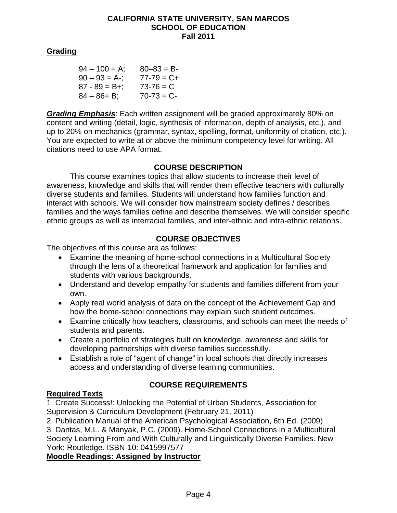### **Grading**

| $94 - 100 = A$ ;  | $80 - 83 = B$   |
|-------------------|-----------------|
| $90 - 93 = A$ -;  | $77 - 79 = C +$ |
| $87 - 89 = B +$ ; | $73 - 76 = C$   |
| $84 - 86 = B$ ;   | $70-73 = C$     |

*Grading Emphasis*: Each written assignment will be graded approximately 80% on content and writing (detail, logic, synthesis of information, depth of analysis, etc.), and up to 20% on mechanics (grammar, syntax, spelling, format, uniformity of citation, etc.). You are expected to write at or above the minimum competency level for writing. All citations need to use APA format.

### **COURSE DESCRIPTION**

This course examines topics that allow students to increase their level of awareness, knowledge and skills that will render them effective teachers with culturally diverse students and families. Students will understand how families function and interact with schools. We will consider how mainstream society defines / describes families and the ways families define and describe themselves. We will consider specific ethnic groups as well as interracial families, and inter-ethnic and intra-ethnic relations.

## **COURSE OBJECTIVES**

The objectives of this course are as follows:

- Examine the meaning of home-school connections in a Multicultural Society through the lens of a theoretical framework and application for families and students with various backgrounds.
- Understand and develop empathy for students and families different from your own.
- Apply real world analysis of data on the concept of the Achievement Gap and how the home-school connections may explain such student outcomes.
- Examine critically how teachers, classrooms, and schools can meet the needs of students and parents.
- Create a portfolio of strategies built on knowledge, awareness and skills for developing partnerships with diverse families successfully.
- Establish a role of "agent of change" in local schools that directly increases access and understanding of diverse learning communities.

# **COURSE REQUIREMENTS**

### **Required Texts**

1. Create Success!: Unlocking the Potential of Urban Students, Association for Supervision & Curriculum Development (February 21, 2011)

2. Publication Manual of the American Psychological Association, 6th Ed. (2009) 3. Dantas, M.L. & Manyak, P.C. (2009). Home-School Connections in a Multicultural Society Learning From and With Culturally and Linguistically Diverse Families. New

York: Routledge. ISBN-10: 0415997577

**Moodle Readings: Assigned by Instructor**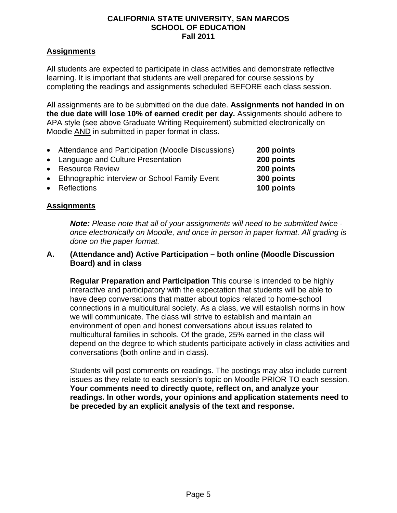### **Assignments**

All students are expected to participate in class activities and demonstrate reflective learning. It is important that students are well prepared for course sessions by completing the readings and assignments scheduled BEFORE each class session.

All assignments are to be submitted on the due date. **Assignments not handed in on the due date will lose 10% of earned credit per day.** Assignments should adhere to APA style (see above Graduate Writing Requirement) submitted electronically on Moodle AND in submitted in paper format in class.

- Attendance and Participation (Moodle Discussions) **200 points**
- Language and Culture Presentation **200 points**
- Resource Review **200 points**
- **Ethnographic interview or School Family Event**
- Reflections **100 points**

### **Assignments**

*Note: Please note that all of your assignments will need to be submitted twice once electronically on Moodle, and once in person in paper format. All grading is done on the paper format.* 

300 points

### **A. (Attendance and) Active Participation – both online (Moodle Discussion Board) and in class**

**Regular Preparation and Participation** This course is intended to be highly interactive and participatory with the expectation that students will be able to have deep conversations that matter about topics related to home-school connections in a multicultural society. As a class, we will establish norms in how we will communicate. The class will strive to establish and maintain an environment of open and honest conversations about issues related to multicultural families in schools. Of the grade, 25% earned in the class will depend on the degree to which students participate actively in class activities and conversations (both online and in class).

Students will post comments on readings. The postings may also include current issues as they relate to each session's topic on Moodle PRIOR TO each session. **Your comments need to directly quote, reflect on, and analyze your readings. In other words, your opinions and application statements need to be preceded by an explicit analysis of the text and response.**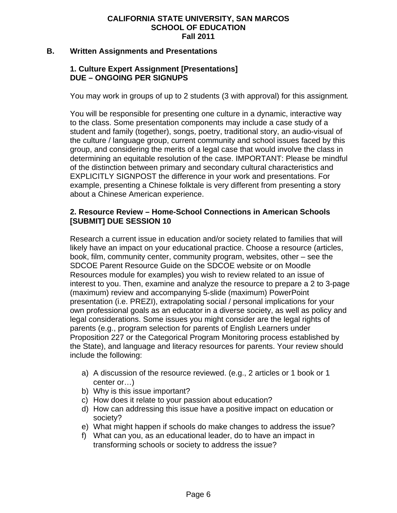### **B. Written Assignments and Presentations**

### **1. Culture Expert Assignment [Presentations] DUE – ONGOING PER SIGNUPS**

You may work in groups of up to 2 students (3 with approval) for this assignment*.* 

You will be responsible for presenting one culture in a dynamic, interactive way to the class. Some presentation components may include a case study of a student and family (together), songs, poetry, traditional story, an audio-visual of the culture / language group, current community and school issues faced by this group, and considering the merits of a legal case that would involve the class in determining an equitable resolution of the case. IMPORTANT: Please be mindful of the distinction between primary and secondary cultural characteristics and EXPLICITLY SIGNPOST the difference in your work and presentations. For example, presenting a Chinese folktale is very different from presenting a story about a Chinese American experience.

### **2. Resource Review – Home-School Connections in American Schools [SUBMIT] DUE SESSION 10**

Research a current issue in education and/or society related to families that will likely have an impact on your educational practice. Choose a resource (articles, book, film, community center, community program, websites, other – see the SDCOE Parent Resource Guide on the SDCOE website or on Moodle Resources module for examples) you wish to review related to an issue of interest to you. Then, examine and analyze the resource to prepare a 2 to 3-page (maximum) review and accompanying 5-slide (maximum) PowerPoint presentation (i.e. PREZI), extrapolating social / personal implications for your own professional goals as an educator in a diverse society, as well as policy and legal considerations. Some issues you might consider are the legal rights of parents (e.g., program selection for parents of English Learners under Proposition 227 or the Categorical Program Monitoring process established by the State), and language and literacy resources for parents. Your review should include the following:

- a) A discussion of the resource reviewed. (e.g., 2 articles or 1 book or 1 center or…)
- b) Why is this issue important?
- c) How does it relate to your passion about education?
- d) How can addressing this issue have a positive impact on education or society?
- e) What might happen if schools do make changes to address the issue?
- f) What can you, as an educational leader, do to have an impact in transforming schools or society to address the issue?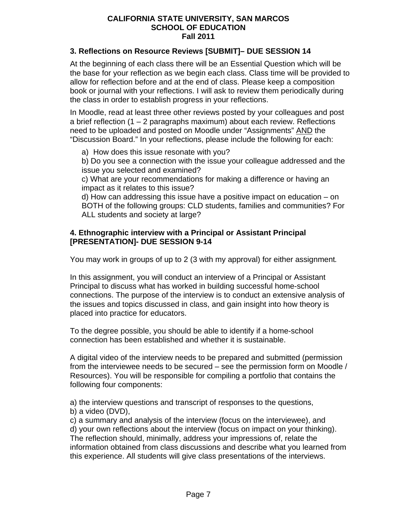### **3. Reflections on Resource Reviews [SUBMIT]– DUE SESSION 14**

At the beginning of each class there will be an Essential Question which will be the base for your reflection as we begin each class. Class time will be provided to allow for reflection before and at the end of class. Please keep a composition book or journal with your reflections. I will ask to review them periodically during the class in order to establish progress in your reflections.

In Moodle, read at least three other reviews posted by your colleagues and post a brief reflection (1 – 2 paragraphs maximum) about each review. Reflections need to be uploaded and posted on Moodle under "Assignments" AND the "Discussion Board." In your reflections, please include the following for each:

a) How does this issue resonate with you?

b) Do you see a connection with the issue your colleague addressed and the issue you selected and examined?

c) What are your recommendations for making a difference or having an impact as it relates to this issue?

d) How can addressing this issue have a positive impact on education – on BOTH of the following groups: CLD students, families and communities? For ALL students and society at large?

### **4. Ethnographic interview with a Principal or Assistant Principal [PRESENTATION]- DUE SESSION 9-14**

You may work in groups of up to 2 (3 with my approval) for either assignment*.*

In this assignment, you will conduct an interview of a Principal or Assistant Principal to discuss what has worked in building successful home-school connections. The purpose of the interview is to conduct an extensive analysis of the issues and topics discussed in class, and gain insight into how theory is placed into practice for educators.

To the degree possible, you should be able to identify if a home-school connection has been established and whether it is sustainable.

A digital video of the interview needs to be prepared and submitted (permission from the interviewee needs to be secured – see the permission form on Moodle / Resources). You will be responsible for compiling a portfolio that contains the following four components:

a) the interview questions and transcript of responses to the questions, b) a video (DVD),

c) a summary and analysis of the interview (focus on the interviewee), and d) your own reflections about the interview (focus on impact on your thinking). The reflection should, minimally, address your impressions of, relate the information obtained from class discussions and describe what you learned from this experience. All students will give class presentations of the interviews.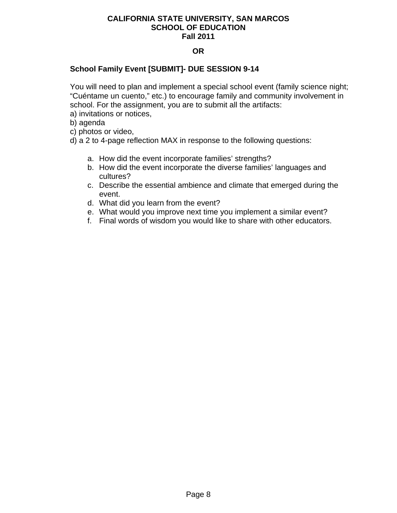### **OR**

### **School Family Event [SUBMIT]- DUE SESSION 9-14**

You will need to plan and implement a special school event (family science night; "Cuéntame un cuento," etc.) to encourage family and community involvement in school. For the assignment, you are to submit all the artifacts:

a) invitations or notices,

b) agenda

c) photos or video,

d) a 2 to 4-page reflection MAX in response to the following questions:

- a. How did the event incorporate families' strengths?
- b. How did the event incorporate the diverse families' languages and cultures?
- c. Describe the essential ambience and climate that emerged during the event.
- d. What did you learn from the event?
- e. What would you improve next time you implement a similar event?
- f. Final words of wisdom you would like to share with other educators.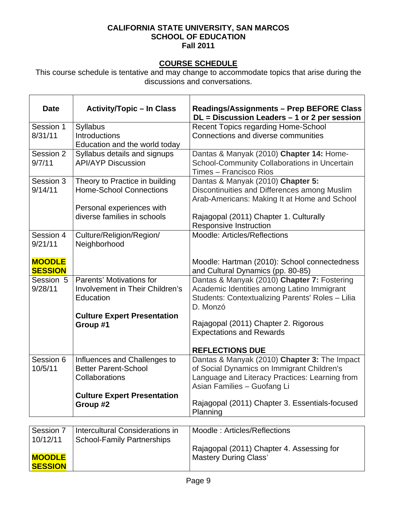# **COURSE SCHEDULE**

This course schedule is tentative and may change to accommodate topics that arise during the discussions and conversations.

| <b>Date</b>                                                                      | <b>Activity/Topic - In Class</b>                                                                                                                                                                                                                           | <b>Readings/Assignments - Prep BEFORE Class</b><br>$DL = Discussion$ Leaders $-1$ or 2 per session                                                                                                                                                                                                                                                                                                                                   |
|----------------------------------------------------------------------------------|------------------------------------------------------------------------------------------------------------------------------------------------------------------------------------------------------------------------------------------------------------|--------------------------------------------------------------------------------------------------------------------------------------------------------------------------------------------------------------------------------------------------------------------------------------------------------------------------------------------------------------------------------------------------------------------------------------|
| Session 1                                                                        | Syllabus                                                                                                                                                                                                                                                   | Recent Topics regarding Home-School                                                                                                                                                                                                                                                                                                                                                                                                  |
| 8/31/11                                                                          | <b>Introductions</b>                                                                                                                                                                                                                                       | Connections and diverse communities                                                                                                                                                                                                                                                                                                                                                                                                  |
|                                                                                  | Education and the world today                                                                                                                                                                                                                              |                                                                                                                                                                                                                                                                                                                                                                                                                                      |
| Session 2                                                                        | Syllabus details and signups                                                                                                                                                                                                                               | Dantas & Manyak (2010) Chapter 14: Home-                                                                                                                                                                                                                                                                                                                                                                                             |
| 9/7/11                                                                           | <b>API/AYP Discussion</b>                                                                                                                                                                                                                                  | School-Community Collaborations in Uncertain                                                                                                                                                                                                                                                                                                                                                                                         |
|                                                                                  |                                                                                                                                                                                                                                                            | Times - Francisco Rios                                                                                                                                                                                                                                                                                                                                                                                                               |
| Session 3                                                                        | Theory to Practice in building                                                                                                                                                                                                                             | Dantas & Manyak (2010) Chapter 5:                                                                                                                                                                                                                                                                                                                                                                                                    |
| 9/14/11                                                                          | <b>Home-School Connections</b>                                                                                                                                                                                                                             | Discontinuities and Differences among Muslim                                                                                                                                                                                                                                                                                                                                                                                         |
|                                                                                  |                                                                                                                                                                                                                                                            | Arab-Americans: Making It at Home and School                                                                                                                                                                                                                                                                                                                                                                                         |
|                                                                                  | Personal experiences with                                                                                                                                                                                                                                  |                                                                                                                                                                                                                                                                                                                                                                                                                                      |
|                                                                                  | diverse families in schools                                                                                                                                                                                                                                | Rajagopal (2011) Chapter 1. Culturally                                                                                                                                                                                                                                                                                                                                                                                               |
|                                                                                  |                                                                                                                                                                                                                                                            | Responsive Instruction                                                                                                                                                                                                                                                                                                                                                                                                               |
| Session 4                                                                        | Culture/Religion/Region/                                                                                                                                                                                                                                   | Moodle: Articles/Reflections                                                                                                                                                                                                                                                                                                                                                                                                         |
| 9/21/11                                                                          | Neighborhood                                                                                                                                                                                                                                               |                                                                                                                                                                                                                                                                                                                                                                                                                                      |
|                                                                                  |                                                                                                                                                                                                                                                            |                                                                                                                                                                                                                                                                                                                                                                                                                                      |
| <b>MOODLE</b>                                                                    |                                                                                                                                                                                                                                                            | Moodle: Hartman (2010): School connectedness                                                                                                                                                                                                                                                                                                                                                                                         |
| <b>SESSION</b>                                                                   |                                                                                                                                                                                                                                                            | and Cultural Dynamics (pp. 80-85)                                                                                                                                                                                                                                                                                                                                                                                                    |
| Session 5                                                                        | Parents' Motivations for                                                                                                                                                                                                                                   | Dantas & Manyak (2010) Chapter 7: Fostering                                                                                                                                                                                                                                                                                                                                                                                          |
| 9/28/11                                                                          | Involvement in Their Children's                                                                                                                                                                                                                            | Academic Identities among Latino Immigrant                                                                                                                                                                                                                                                                                                                                                                                           |
|                                                                                  |                                                                                                                                                                                                                                                            |                                                                                                                                                                                                                                                                                                                                                                                                                                      |
|                                                                                  |                                                                                                                                                                                                                                                            | D. Monzó                                                                                                                                                                                                                                                                                                                                                                                                                             |
|                                                                                  |                                                                                                                                                                                                                                                            |                                                                                                                                                                                                                                                                                                                                                                                                                                      |
|                                                                                  | Group #1                                                                                                                                                                                                                                                   | Rajagopal (2011) Chapter 2. Rigorous                                                                                                                                                                                                                                                                                                                                                                                                 |
|                                                                                  |                                                                                                                                                                                                                                                            | <b>Expectations and Rewards</b>                                                                                                                                                                                                                                                                                                                                                                                                      |
|                                                                                  |                                                                                                                                                                                                                                                            |                                                                                                                                                                                                                                                                                                                                                                                                                                      |
|                                                                                  |                                                                                                                                                                                                                                                            |                                                                                                                                                                                                                                                                                                                                                                                                                                      |
|                                                                                  |                                                                                                                                                                                                                                                            |                                                                                                                                                                                                                                                                                                                                                                                                                                      |
|                                                                                  |                                                                                                                                                                                                                                                            |                                                                                                                                                                                                                                                                                                                                                                                                                                      |
|                                                                                  |                                                                                                                                                                                                                                                            |                                                                                                                                                                                                                                                                                                                                                                                                                                      |
|                                                                                  |                                                                                                                                                                                                                                                            |                                                                                                                                                                                                                                                                                                                                                                                                                                      |
|                                                                                  |                                                                                                                                                                                                                                                            |                                                                                                                                                                                                                                                                                                                                                                                                                                      |
|                                                                                  |                                                                                                                                                                                                                                                            |                                                                                                                                                                                                                                                                                                                                                                                                                                      |
|                                                                                  |                                                                                                                                                                                                                                                            |                                                                                                                                                                                                                                                                                                                                                                                                                                      |
|                                                                                  |                                                                                                                                                                                                                                                            |                                                                                                                                                                                                                                                                                                                                                                                                                                      |
|                                                                                  |                                                                                                                                                                                                                                                            |                                                                                                                                                                                                                                                                                                                                                                                                                                      |
|                                                                                  |                                                                                                                                                                                                                                                            |                                                                                                                                                                                                                                                                                                                                                                                                                                      |
|                                                                                  |                                                                                                                                                                                                                                                            |                                                                                                                                                                                                                                                                                                                                                                                                                                      |
|                                                                                  |                                                                                                                                                                                                                                                            |                                                                                                                                                                                                                                                                                                                                                                                                                                      |
| Session 6<br>10/5/11<br>Session 7<br>10/12/11<br><b>MOODLE</b><br><b>SESSION</b> | Education<br><b>Culture Expert Presentation</b><br>Influences and Challenges to<br><b>Better Parent-School</b><br>Collaborations<br><b>Culture Expert Presentation</b><br>Group #2<br>Intercultural Considerations in<br><b>School-Family Partnerships</b> | Students: Contextualizing Parents' Roles - Lilia<br><b>REFLECTIONS DUE</b><br>Dantas & Manyak (2010) Chapter 3: The Impact<br>of Social Dynamics on Immigrant Children's<br>Language and Literacy Practices: Learning from<br>Asian Families - Guofang Li<br>Rajagopal (2011) Chapter 3. Essentials-focused<br>Planning<br>Moodle: Articles/Reflections<br>Rajagopal (2011) Chapter 4. Assessing for<br><b>Mastery During Class'</b> |